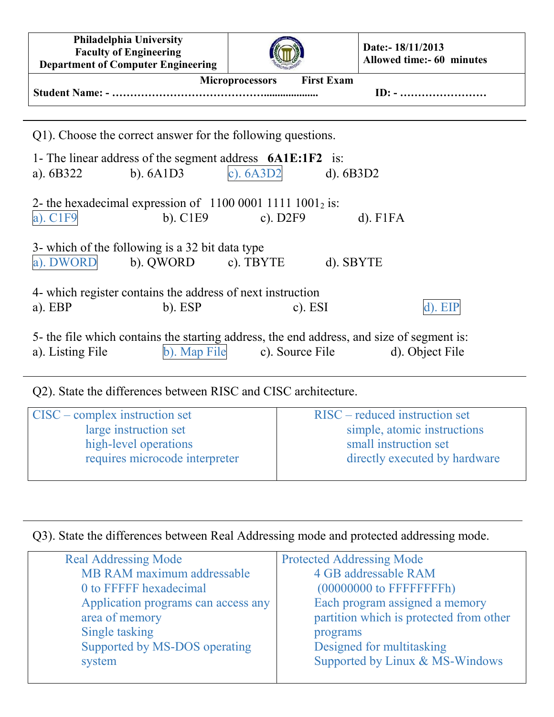| Philadelphia University<br><b>Faculty of Engineering</b><br><b>Department of Computer Engineering</b>                                                               |                                      | Date:- 18/11/2013<br>Allowed time:- 60 minutes          |  |  |  |
|---------------------------------------------------------------------------------------------------------------------------------------------------------------------|--------------------------------------|---------------------------------------------------------|--|--|--|
|                                                                                                                                                                     | <b>First Exam</b><br>Microprocessors | $ID: - \dots \dots \dots \dots \dots \dots \dots \dots$ |  |  |  |
| Q1). Choose the correct answer for the following questions.                                                                                                         |                                      |                                                         |  |  |  |
| 1- The linear address of the segment address $6A1E:1F2$ is:<br>c). $6A3D2$<br>$b)$ . $6A1D3$<br>a). $6B322$<br>$d)$ . 6B3D2                                         |                                      |                                                         |  |  |  |
| 2- the hexadecimal expression of $1100 0001 1111 1001_2$ is:<br>$a)$ . $C1F9$<br>$b)$ . C1E9                                                                        | c). $D2F9$                           | $d)$ . F1FA                                             |  |  |  |
| 3- which of the following is a 32 bit data type<br>a). DWORD<br>b). QWORD c). TBYTE<br>d). SBYTE                                                                    |                                      |                                                         |  |  |  |
| 4- which register contains the address of next instruction<br>$a)$ . EBP<br>$b)$ . ESP                                                                              | $c)$ . ESI                           | d). EIP                                                 |  |  |  |
| 5- the file which contains the starting address, the end address, and size of segment is:<br>b). Map File<br>c). Source File<br>d). Object File<br>a). Listing File |                                      |                                                         |  |  |  |

## Q2). State the differences between RISC and CISC architecture.

| $\vert$ CISC – complex instruction set | $RISC$ – reduced instruction set |
|----------------------------------------|----------------------------------|
| large instruction set                  | simple, atomic instructions      |
| high-level operations                  | small instruction set            |
| requires microcode interpreter         | directly executed by hardware    |
|                                        |                                  |

## Q3). State the differences between Real Addressing mode and protected addressing mode.

| <b>Real Addressing Mode</b>         | <b>Protected Addressing Mode</b>        |
|-------------------------------------|-----------------------------------------|
| MB RAM maximum addressable          | 4 GB addressable RAM                    |
| 0 to FFFFF hexadecimal              |                                         |
| Application programs can access any | Each program assigned a memory          |
| area of memory                      | partition which is protected from other |
| Single tasking                      | programs                                |
| Supported by MS-DOS operating       | Designed for multitasking               |
| system                              | Supported by Linux & MS-Windows         |
|                                     |                                         |